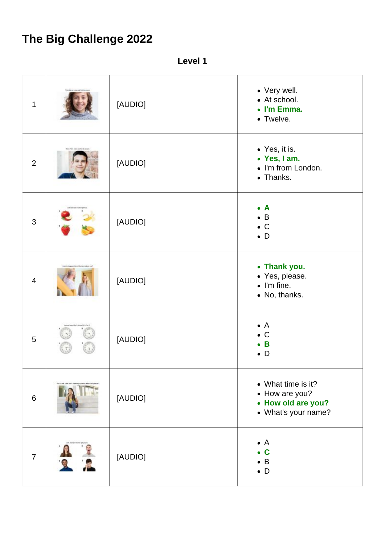## **The Big Challenge 2022**

**Level 1**

| $\mathbf{1}$   | [AUDIO] | • Very well.<br>• At school.<br>• I'm Emma.<br>• Twelve.                          |
|----------------|---------|-----------------------------------------------------------------------------------|
| $\overline{2}$ | [AUDIO] | • Yes, it is.<br>• Yes, I am.<br>• I'm from London.<br>• Thanks.                  |
| $\mathfrak{S}$ | [AUDIO] | $\bullet$ A<br>$\bullet$ B<br>$\bullet$ C<br>$\bullet$ D                          |
| $\overline{4}$ | [AUDIO] | • Thank you.<br>• Yes, please.<br>$\bullet$ I'm fine.<br>• No, thanks.            |
| 5              | [AUDIO] | $\bullet$ A<br>$\bullet$ C<br>$\bullet$ B<br>D                                    |
| $6\,$          | [AUDIO] | • What time is it?<br>• How are you?<br>• How old are you?<br>• What's your name? |
| $\overline{7}$ | [AUDIO] | $\bullet$ A<br>$\mathbf c$<br>$\bullet$ B<br>$\bullet$ D                          |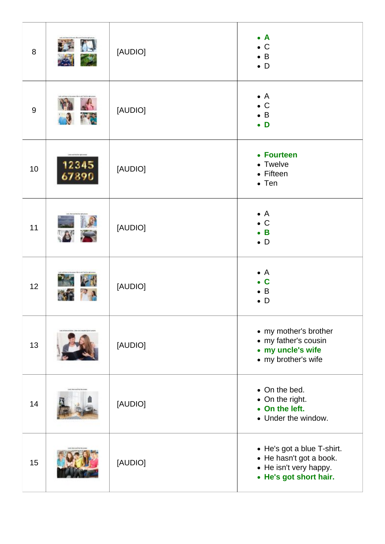| 8     |                                                     | [AUDIO] | $\bullet$ A<br>$\bullet$ C<br>$\bullet$ B<br>$\bullet$ D                                                  |
|-------|-----------------------------------------------------|---------|-----------------------------------------------------------------------------------------------------------|
| $9\,$ | <b>MAG</b>                                          | [AUDIO] | $\bullet$ A<br>$\bullet$ C<br>$\bullet$ B<br>$\bullet$ D                                                  |
| 10    | <b>Jammed Brofiler opinionene</b><br>12345<br>67890 | [AUDIO] | • Fourteen<br>• Twelve<br>• Fifteen<br>$\bullet$ Ten                                                      |
| 11    | A                                                   | [AUDIO] | $\bullet$ A<br>$\bullet$ C<br>$\bullet$ B<br>$\bullet$ D                                                  |
| 12    |                                                     | [AUDIO] | $\bullet$ A<br>C<br>$\bullet$ B<br>D                                                                      |
| 13    |                                                     | [AUDIO] | • my mother's brother<br>• my father's cousin<br>• my uncle's wife<br>• my brother's wife                 |
| 14    |                                                     | [AUDIO] | • On the bed.<br>• On the right.<br>• On the left.<br>• Under the window.                                 |
| 15    |                                                     | [AUDIO] | • He's got a blue T-shirt.<br>• He hasn't got a book.<br>• He isn't very happy.<br>• He's got short hair. |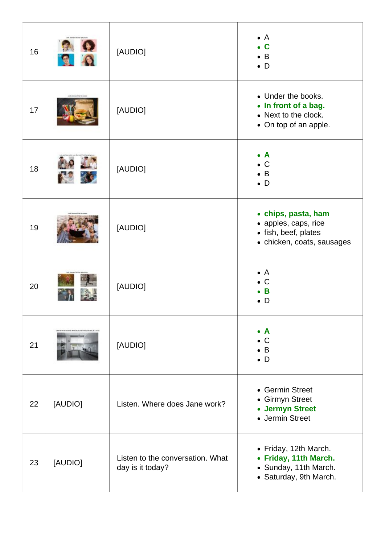| 16 |         | [AUDIO]                                              | $\bullet$ A<br>C<br>$\bullet$ B<br>$\bullet$ D                                                    |
|----|---------|------------------------------------------------------|---------------------------------------------------------------------------------------------------|
| 17 |         | [AUDIO]                                              | • Under the books.<br>• In front of a bag.<br>• Next to the clock.<br>• On top of an apple.       |
| 18 |         | [AUDIO]                                              | <b>A</b><br>$\bullet$<br>$\bullet$ C<br>B<br>$\bullet$ D                                          |
| 19 |         | [AUDIO]                                              | • chips, pasta, ham<br>• apples, caps, rice<br>• fish, beef, plates<br>• chicken, coats, sausages |
| 20 |         | [AUDIO]                                              | $\bullet$ A<br>$\mathsf C$<br>B<br>D                                                              |
| 21 |         | [AUDIO]                                              | $\bullet$ A<br>$\bullet$ C<br>$\bullet$ B<br>$\bullet$ D                                          |
| 22 | [AUDIO] | Listen. Where does Jane work?                        | • Germin Street<br>• Girmyn Street<br>• Jermyn Street<br>• Jermin Street                          |
| 23 | [AUDIO] | Listen to the conversation. What<br>day is it today? | • Friday, 12th March.<br>• Friday, 11th March.<br>• Sunday, 11th March.<br>• Saturday, 9th March. |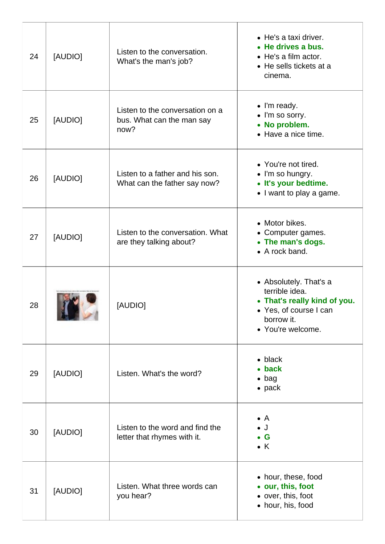| 24 | [AUDIO] | Listen to the conversation.<br>What's the man's job?                 | • He's a taxi driver.<br>• He drives a bus.<br>• He's a film actor.<br>• He sells tickets at a<br>cinema.                             |
|----|---------|----------------------------------------------------------------------|---------------------------------------------------------------------------------------------------------------------------------------|
| 25 | [AUDIO] | Listen to the conversation on a<br>bus. What can the man say<br>now? | • I'm ready.<br>• I'm so sorry.<br>• No problem.<br>• Have a nice time.                                                               |
| 26 | [AUDIO] | Listen to a father and his son.<br>What can the father say now?      | • You're not tired.<br>• I'm so hungry.<br>• It's your bedtime.<br>• I want to play a game.                                           |
| 27 | [AUDIO] | Listen to the conversation. What<br>are they talking about?          | • Motor bikes.<br>• Computer games.<br>• The man's dogs.<br>• A rock band.                                                            |
| 28 |         | [AUDIO]                                                              | • Absolutely. That's a<br>terrible idea.<br>• That's really kind of you.<br>• Yes, of course I can<br>borrow it.<br>• You're welcome. |
| 29 | [AUDIO] | Listen. What's the word?                                             | $\bullet$ black<br>• back<br>$\bullet$ bag<br>$\bullet$ pack                                                                          |
| 30 | [AUDIO] | Listen to the word and find the<br>letter that rhymes with it.       | $\bullet$ A<br>$\bullet$ J<br>$\bullet$ G<br>$\bullet$ K                                                                              |
| 31 | [AUDIO] | Listen. What three words can<br>you hear?                            | • hour, these, food<br>• our, this, foot<br>• over, this, foot<br>• hour, his, food                                                   |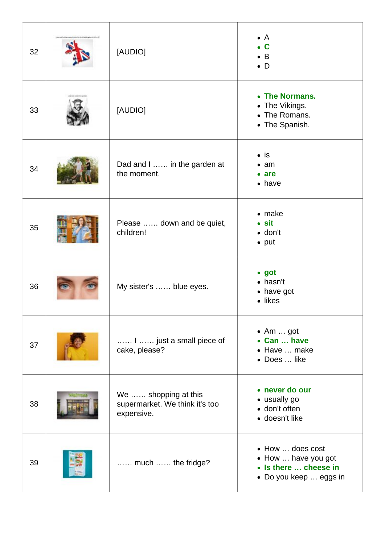| 32 | [AUDIO]                                                              | $\bullet$ A<br>$\bullet$ C<br>$\bullet$ B<br>$\bullet$ D                                   |
|----|----------------------------------------------------------------------|--------------------------------------------------------------------------------------------|
| 33 | [AUDIO]                                                              | • The Normans.<br>• The Vikings.<br>• The Romans.<br>• The Spanish.                        |
| 34 | Dad and I  in the garden at<br>the moment.                           | $\bullet$ is<br>$\bullet$ am<br>$\bullet$ are<br>$\bullet$ have                            |
| 35 | Please  down and be quiet,<br>children!                              | $\bullet$ make<br>$\bullet$ sit<br>$\bullet$ don't<br>$\bullet$ put                        |
| 36 | My sister's  blue eyes.                                              | $\bullet$ got<br>$\bullet$ hasn't<br>• have got<br>• likes                                 |
| 37 | I  just a small piece of<br>cake, please?                            | $\bullet$ Am  got<br>• Can  have<br>• Have  make<br>• Does  like                           |
| 38 | We  shopping at this<br>supermarket. We think it's too<br>expensive. | • never do our<br>• usually go<br>• don't often<br>· doesn't like                          |
| 39 | much  the fridge?                                                    | • How  does cost<br>• How  have you got<br>• Is there  cheese in<br>• Do you keep  eggs in |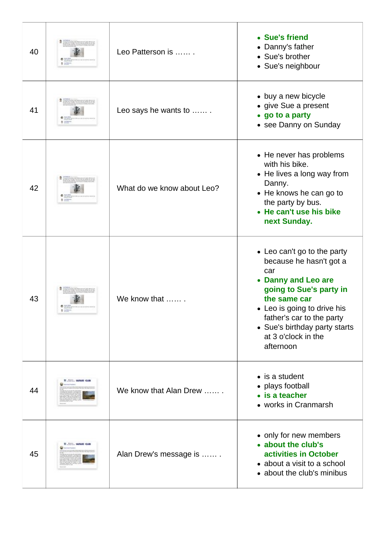| 40 |                 | Leo Patterson is           | • Sue's friend<br>• Danny's father<br>• Sue's brother<br>• Sue's neighbour                                                                                                                                                                                       |
|----|-----------------|----------------------------|------------------------------------------------------------------------------------------------------------------------------------------------------------------------------------------------------------------------------------------------------------------|
| 41 |                 | Leo says he wants to       | • buy a new bicycle<br>• give Sue a present<br>• go to a party<br>• see Danny on Sunday                                                                                                                                                                          |
| 42 |                 | What do we know about Leo? | • He never has problems<br>with his bike.<br>• He lives a long way from<br>Danny.<br>• He knows he can go to<br>the party by bus.<br>• He can't use his bike<br>next Sunday.                                                                                     |
| 43 |                 | We know that               | • Leo can't go to the party<br>because he hasn't got a<br>car<br>• Danny and Leo are<br>going to Sue's party in<br>the same car<br>• Leo is going to drive his<br>father's car to the party<br>• Sue's birthday party starts<br>at 3 o'clock in the<br>afternoon |
| 44 | SHIP LAPASE CLE | We know that Alan Drew     | $\bullet$ is a student<br>• plays football<br>• is a teacher<br>• works in Cranmarsh                                                                                                                                                                             |
| 45 |                 | Alan Drew's message is     | • only for new members<br>• about the club's<br>activities in October<br>• about a visit to a school<br>• about the club's minibus                                                                                                                               |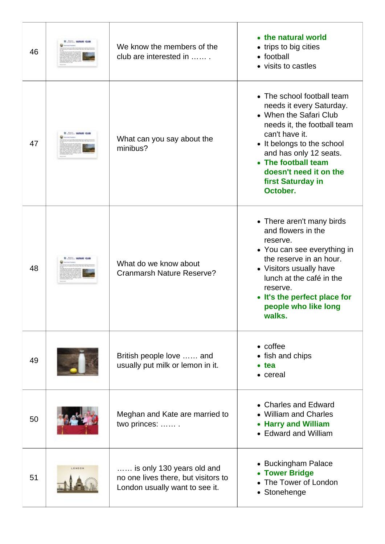| 46 | <b>WANTED IMPART GLASS</b> | We know the members of the<br>club are interested in                                               | • the natural world<br>• trips to big cities<br>• football<br>• visits to castles                                                                                                                                                                                           |
|----|----------------------------|----------------------------------------------------------------------------------------------------|-----------------------------------------------------------------------------------------------------------------------------------------------------------------------------------------------------------------------------------------------------------------------------|
| 47 | <b>TO LARASE CLE</b>       | What can you say about the<br>minibus?                                                             | • The school football team<br>needs it every Saturday.<br>• When the Safari Club<br>needs it, the football team<br>can't have it.<br>• It belongs to the school<br>and has only 12 seats.<br>• The football team<br>doesn't need it on the<br>first Saturday in<br>October. |
| 48 | ROOM  EARNERS CLEA         | What do we know about<br><b>Cranmarsh Nature Reserve?</b>                                          | • There aren't many birds<br>and flowers in the<br>reserve.<br>• You can see everything in<br>the reserve in an hour.<br>• Visitors usually have<br>lunch at the café in the<br>reserve.<br>It's the perfect place for<br>people who like long<br>walks.                    |
| 49 |                            | British people love  and<br>usually put milk or lemon in it.                                       | $\bullet$ coffee<br>• fish and chips<br>$\bullet$ tea<br>• cereal                                                                                                                                                                                                           |
| 50 |                            | Meghan and Kate are married to<br>two princes:  .                                                  | • Charles and Edward<br><b>William and Charles</b><br><b>Harry and William</b><br>$\bullet$<br>• Edward and William                                                                                                                                                         |
| 51 | LONGON                     | is only 130 years old and<br>no one lives there, but visitors to<br>London usually want to see it. | • Buckingham Palace<br><b>Tower Bridge</b><br>The Tower of London<br>• Stonehenge                                                                                                                                                                                           |